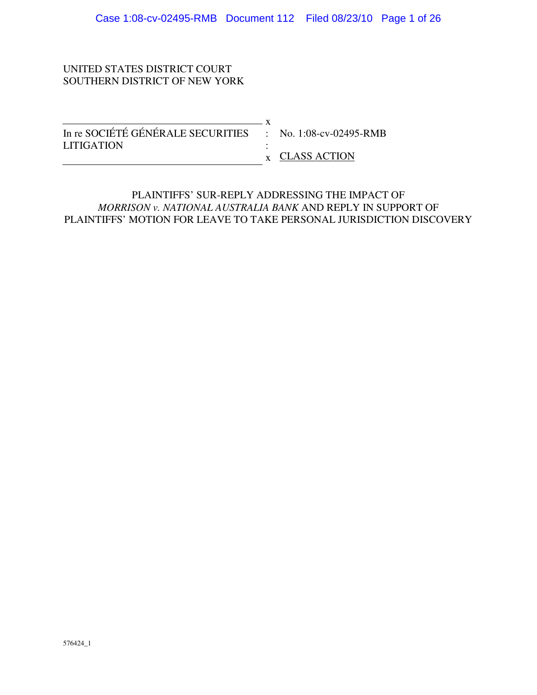## UNITED STATES DISTRICT COURT SOUTHERN DISTRICT OF NEW YORK

| In re SOCIÉTÉ GÉNÉRALE SECURITIES : No. 1:08-cv-02495-RMB |                |
|-----------------------------------------------------------|----------------|
| <b>LITIGATION</b>                                         |                |
|                                                           | x CLASS ACTION |

## PLAINTIFFS' SUR-REPLY ADDRESSING THE IMPACT OF *MORRISON v. NATIONAL AUSTRALIA BANK* AND REPLY IN SUPPORT OF PLAINTIFFS' MOTION FOR LEAVE TO TAKE PERSONAL JURISDICTION DISCOVERY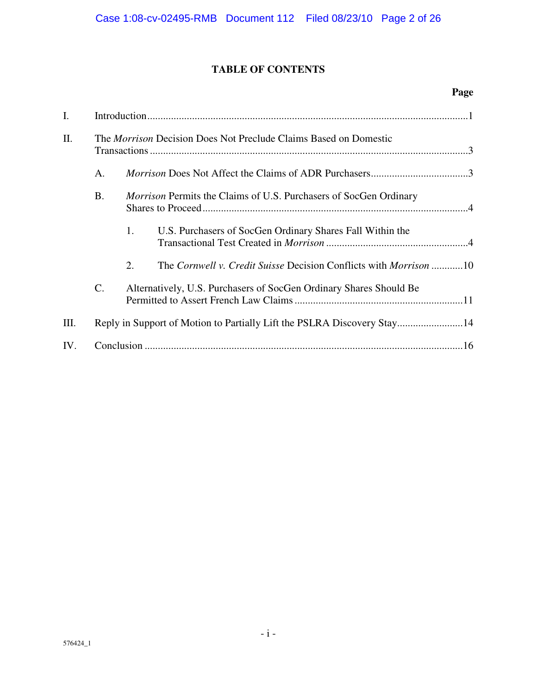# **TABLE OF CONTENTS**

## **Page**

| I.  |                                                                         |                                                                          |                                                                         |  |  |
|-----|-------------------------------------------------------------------------|--------------------------------------------------------------------------|-------------------------------------------------------------------------|--|--|
| II. | The <i>Morrison</i> Decision Does Not Preclude Claims Based on Domestic |                                                                          |                                                                         |  |  |
|     | A.                                                                      |                                                                          |                                                                         |  |  |
|     | <b>B.</b>                                                               | <i>Morrison</i> Permits the Claims of U.S. Purchasers of SocGen Ordinary |                                                                         |  |  |
|     |                                                                         | 1.                                                                       | U.S. Purchasers of SocGen Ordinary Shares Fall Within the               |  |  |
|     |                                                                         | 2.                                                                       | The Cornwell v. Credit Suisse Decision Conflicts with Morrison 10       |  |  |
|     | $\mathcal{C}$ .                                                         |                                                                          | Alternatively, U.S. Purchasers of SocGen Ordinary Shares Should Be      |  |  |
| Ш.  |                                                                         |                                                                          | Reply in Support of Motion to Partially Lift the PSLRA Discovery Stay14 |  |  |
| IV. |                                                                         |                                                                          |                                                                         |  |  |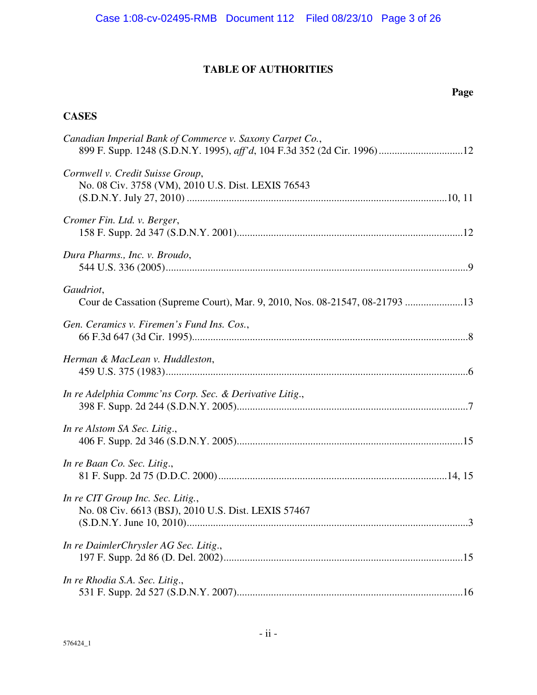# **TABLE OF AUTHORITIES**

## **Page**

# **CASES**

| Canadian Imperial Bank of Commerce v. Saxony Carpet Co.,<br>899 F. Supp. 1248 (S.D.N.Y. 1995), aff'd, 104 F.3d 352 (2d Cir. 1996)12 |
|-------------------------------------------------------------------------------------------------------------------------------------|
| Cornwell v. Credit Suisse Group,<br>No. 08 Civ. 3758 (VM), 2010 U.S. Dist. LEXIS 76543                                              |
| Cromer Fin. Ltd. v. Berger,                                                                                                         |
| Dura Pharms., Inc. v. Broudo,                                                                                                       |
| Gaudriot,<br>Cour de Cassation (Supreme Court), Mar. 9, 2010, Nos. 08-21547, 08-21793 13                                            |
| Gen. Ceramics v. Firemen's Fund Ins. Cos.,                                                                                          |
| Herman & MacLean v. Huddleston,                                                                                                     |
| In re Adelphia Commc'ns Corp. Sec. & Derivative Litig.,                                                                             |
| In re Alstom SA Sec. Litig.,                                                                                                        |
| In re Baan Co. Sec. Litig.,                                                                                                         |
| In re CIT Group Inc. Sec. Litig.,<br>No. 08 Civ. 6613 (BSJ), 2010 U.S. Dist. LEXIS 57467                                            |
| In re DaimlerChrysler AG Sec. Litig.,                                                                                               |
| In re Rhodia S.A. Sec. Litig.,                                                                                                      |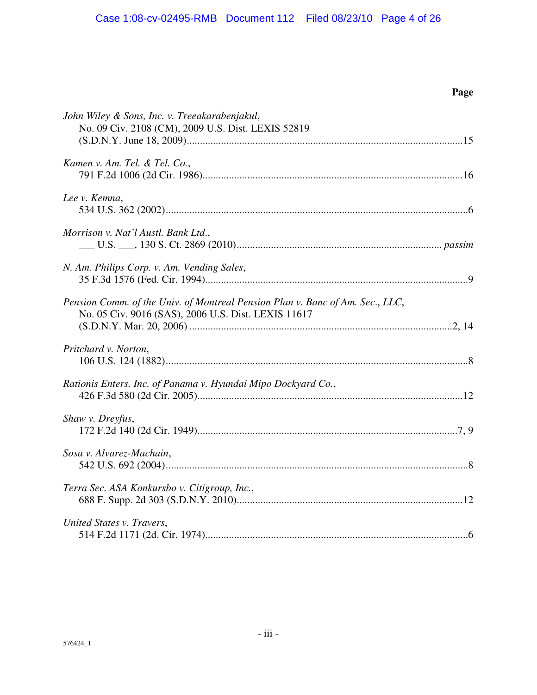# **Page**

| John Wiley & Sons, Inc. v. Treeakarabenjakul,<br>No. 09 Civ. 2108 (CM), 2009 U.S. Dist. LEXIS 52819                                  |
|--------------------------------------------------------------------------------------------------------------------------------------|
| Kamen v. Am. Tel. & Tel. Co.,                                                                                                        |
| Lee v. Kemna,                                                                                                                        |
| Morrison v. Nat'l Austl. Bank Ltd.,                                                                                                  |
| N. Am. Philips Corp. v. Am. Vending Sales,                                                                                           |
| Pension Comm. of the Univ. of Montreal Pension Plan v. Banc of Am. Sec., LLC,<br>No. 05 Civ. 9016 (SAS), 2006 U.S. Dist. LEXIS 11617 |
| Pritchard v. Norton,                                                                                                                 |
| Rationis Enters. Inc. of Panama v. Hyundai Mipo Dockyard Co.,                                                                        |
| Shaw v. Dreyfus,                                                                                                                     |
| Sosa v. Alvarez-Machain,                                                                                                             |
| Terra Sec. ASA Konkursbo v. Citigroup, Inc.,                                                                                         |
| United States v. Travers,                                                                                                            |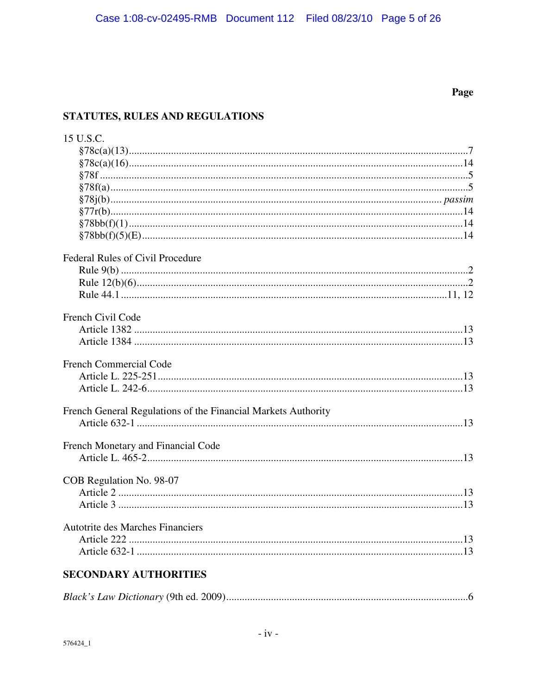# Page

# STATUTES, RULES AND REGULATIONS

| 15 U.S.C.                                                     |
|---------------------------------------------------------------|
|                                                               |
|                                                               |
|                                                               |
|                                                               |
|                                                               |
|                                                               |
|                                                               |
|                                                               |
| Federal Rules of Civil Procedure                              |
|                                                               |
|                                                               |
|                                                               |
|                                                               |
| French Civil Code                                             |
|                                                               |
|                                                               |
| French Commercial Code                                        |
|                                                               |
|                                                               |
|                                                               |
| French General Regulations of the Financial Markets Authority |
|                                                               |
|                                                               |
| French Monetary and Financial Code                            |
|                                                               |
| COB Regulation No. 98-07                                      |
|                                                               |
|                                                               |
|                                                               |
| <b>Autotrite des Marches Financiers</b>                       |
|                                                               |
|                                                               |
| <b>CECOMBI DV AUTHODITIEC</b>                                 |

# **SECONDARY AUTHORITIES**

|--|--|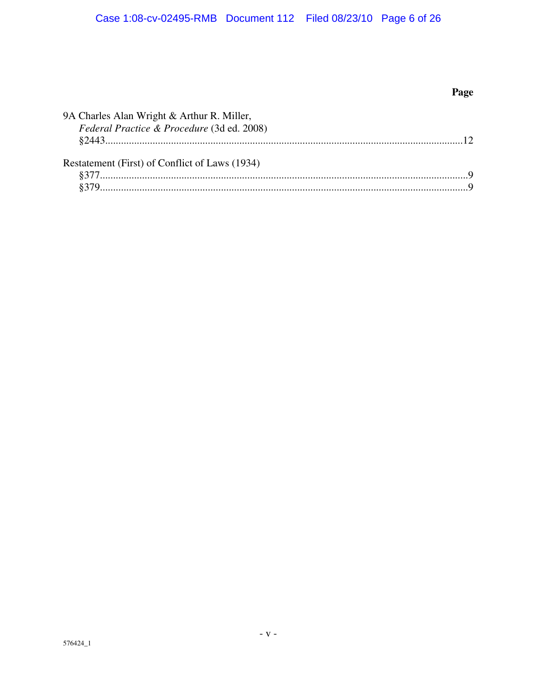# Page

| 9A Charles Alan Wright & Arthur R. Miller,<br>Federal Practice & Procedure (3d ed. 2008) |  |
|------------------------------------------------------------------------------------------|--|
| Restatement (First) of Conflict of Laws (1934)                                           |  |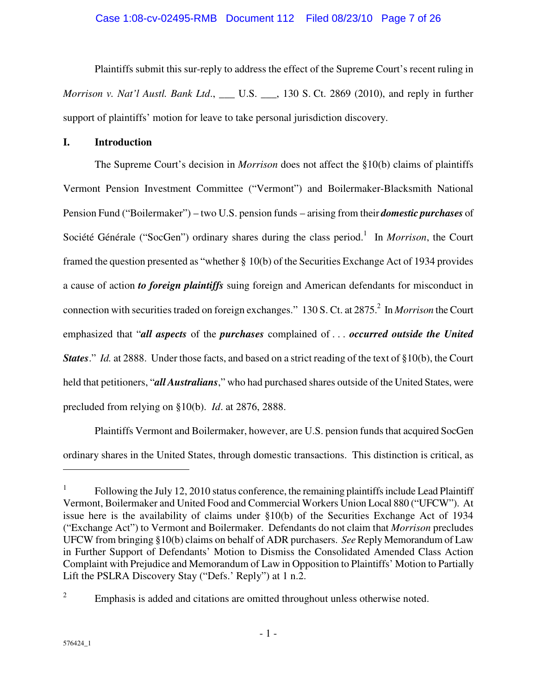## Case 1:08-cv-02495-RMB Document 112 Filed 08/23/10 Page 7 of 26

Plaintiffs submit this sur-reply to address the effect of the Supreme Court's recent ruling in *Morrison v. Nat'l Austl. Bank Ltd.*, \_\_\_ U.S. \_\_\_, 130 S. Ct. 2869 (2010), and reply in further support of plaintiffs' motion for leave to take personal jurisdiction discovery.

## **I. Introduction**

The Supreme Court's decision in *Morrison* does not affect the §10(b) claims of plaintiffs Vermont Pension Investment Committee ("Vermont") and Boilermaker-Blacksmith National Pension Fund ("Boilermaker") – two U.S. pension funds – arising from their *domestic purchases* of Société Générale ("SocGen") ordinary shares during the class period.<sup>1</sup> In *Morrison*, the Court framed the question presented as "whether § 10(b) of the Securities Exchange Act of 1934 provides a cause of action *to foreign plaintiffs* suing foreign and American defendants for misconduct in connection with securities traded on foreign exchanges." 130 S. Ct. at 2875.<sup>2</sup> In *Morrison* the Court emphasized that "*all aspects* of the *purchases* complained of . . . *occurred outside the United States.*" *Id.* at 2888. Under those facts, and based on a strict reading of the text of §10(b), the Court held that petitioners, "*all Australians*," who had purchased shares outside of the United States, were precluded from relying on §10(b). *Id*. at 2876, 2888.

Plaintiffs Vermont and Boilermaker, however, are U.S. pension funds that acquired SocGen ordinary shares in the United States, through domestic transactions. This distinction is critical, as

1

<sup>1</sup> Following the July 12, 2010 status conference, the remaining plaintiffs include Lead Plaintiff Vermont, Boilermaker and United Food and Commercial Workers Union Local 880 ("UFCW"). At issue here is the availability of claims under §10(b) of the Securities Exchange Act of 1934 ("Exchange Act") to Vermont and Boilermaker. Defendants do not claim that *Morrison* precludes UFCW from bringing §10(b) claims on behalf of ADR purchasers. *See* Reply Memorandum of Law in Further Support of Defendants' Motion to Dismiss the Consolidated Amended Class Action Complaint with Prejudice and Memorandum of Law in Opposition to Plaintiffs' Motion to Partially Lift the PSLRA Discovery Stay ("Defs.' Reply") at 1 n.2.

<sup>2</sup> Emphasis is added and citations are omitted throughout unless otherwise noted.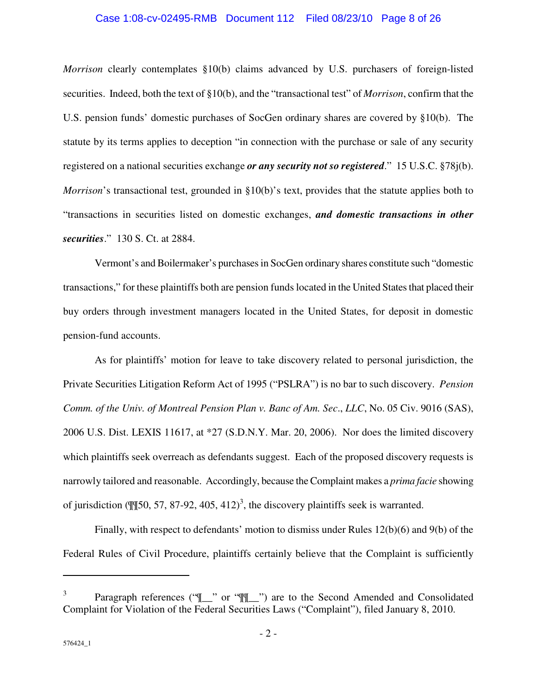#### Case 1:08-cv-02495-RMB Document 112 Filed 08/23/10 Page 8 of 26

*Morrison* clearly contemplates §10(b) claims advanced by U.S. purchasers of foreign-listed securities. Indeed, both the text of §10(b), and the "transactional test" of *Morrison*, confirm that the U.S. pension funds' domestic purchases of SocGen ordinary shares are covered by §10(b). The statute by its terms applies to deception "in connection with the purchase or sale of any security registered on a national securities exchange *or any security not so registered*." 15 U.S.C. §78j(b). *Morrison*'s transactional test, grounded in §10(b)'s text, provides that the statute applies both to "transactions in securities listed on domestic exchanges, *and domestic transactions in other securities*." 130 S. Ct. at 2884.

Vermont's and Boilermaker's purchases in SocGen ordinary shares constitute such "domestic transactions," for these plaintiffs both are pension funds located in the United States that placed their buy orders through investment managers located in the United States, for deposit in domestic pension-fund accounts.

As for plaintiffs' motion for leave to take discovery related to personal jurisdiction, the Private Securities Litigation Reform Act of 1995 ("PSLRA") is no bar to such discovery. *Pension Comm. of the Univ. of Montreal Pension Plan v. Banc of Am. Sec*., *LLC*, No. 05 Civ. 9016 (SAS), 2006 U.S. Dist. LEXIS 11617, at \*27 (S.D.N.Y. Mar. 20, 2006). Nor does the limited discovery which plaintiffs seek overreach as defendants suggest. Each of the proposed discovery requests is narrowly tailored and reasonable. Accordingly, because the Complaint makes a *prima facie* showing of jurisdiction ( $\left(\frac{m}{50}, 57, 87-92, 405, 412\right)^3$ , the discovery plaintiffs seek is warranted.

Finally, with respect to defendants' motion to dismiss under Rules 12(b)(6) and 9(b) of the Federal Rules of Civil Procedure, plaintiffs certainly believe that the Complaint is sufficiently

1

<sup>3</sup> Paragraph references (" $\mathbb{I}$ " or " $\mathbb{I}$ ") are to the Second Amended and Consolidated Complaint for Violation of the Federal Securities Laws ("Complaint"), filed January 8, 2010.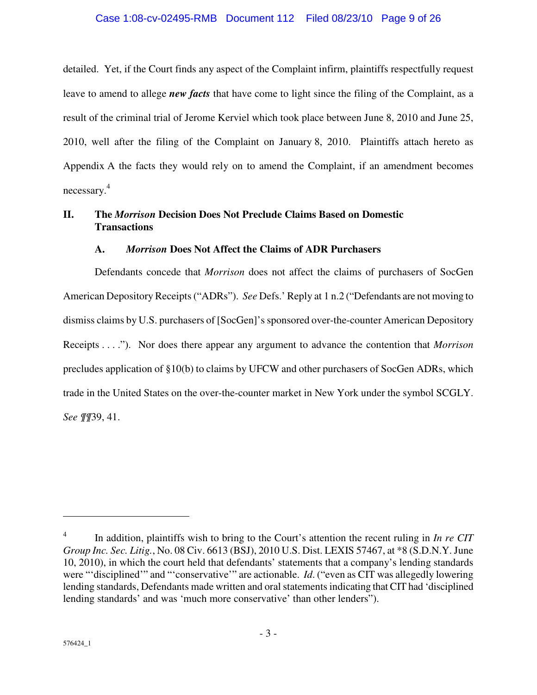## Case 1:08-cv-02495-RMB Document 112 Filed 08/23/10 Page 9 of 26

detailed. Yet, if the Court finds any aspect of the Complaint infirm, plaintiffs respectfully request leave to amend to allege *new facts* that have come to light since the filing of the Complaint, as a result of the criminal trial of Jerome Kerviel which took place between June 8, 2010 and June 25, 2010, well after the filing of the Complaint on January 8, 2010. Plaintiffs attach hereto as Appendix A the facts they would rely on to amend the Complaint, if an amendment becomes necessary. 4

## **II. The** *Morrison* **Decision Does Not Preclude Claims Based on Domestic Transactions**

## **A.** *Morrison* **Does Not Affect the Claims of ADR Purchasers**

Defendants concede that *Morrison* does not affect the claims of purchasers of SocGen American Depository Receipts ("ADRs"). *See* Defs.' Reply at 1 n.2 ("Defendants are not moving to dismiss claims by U.S. purchasers of [SocGen]'s sponsored over-the-counter American Depository Receipts . . . ."). Nor does there appear any argument to advance the contention that *Morrison* precludes application of §10(b) to claims by UFCW and other purchasers of SocGen ADRs, which trade in the United States on the over-the-counter market in New York under the symbol SCGLY. *See ¶¶*39, 41.

<u>.</u>

<sup>4</sup> In addition, plaintiffs wish to bring to the Court's attention the recent ruling in *In re CIT Group Inc. Sec. Litig.*, No. 08 Civ. 6613 (BSJ), 2010 U.S. Dist. LEXIS 57467, at \*8 (S.D.N.Y. June 10, 2010), in which the court held that defendants' statements that a company's lending standards were "'disciplined'" and "'conservative'" are actionable. *Id*. ("even as CIT was allegedly lowering lending standards, Defendants made written and oral statements indicating that CIT had 'disciplined lending standards' and was 'much more conservative' than other lenders").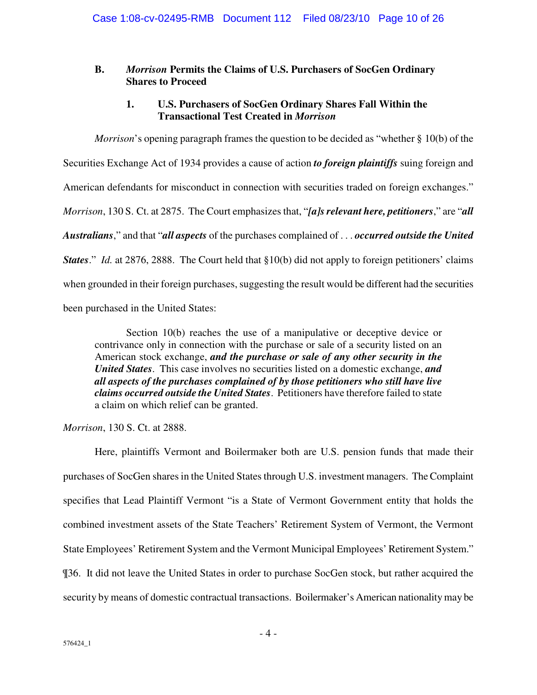## **B.** *Morrison* **Permits the Claims of U.S. Purchasers of SocGen Ordinary Shares to Proceed**

## **1. U.S. Purchasers of SocGen Ordinary Shares Fall Within the Transactional Test Created in** *Morrison*

*Morrison*'s opening paragraph frames the question to be decided as "whether § 10(b) of the Securities Exchange Act of 1934 provides a cause of action *to foreign plaintiffs* suing foreign and American defendants for misconduct in connection with securities traded on foreign exchanges." *Morrison*, 130 S. Ct. at 2875. The Court emphasizes that, "*[a]s relevant here, petitioners*," are "*all Australians*," and that "*all aspects* of the purchases complained of . . . *occurred outside the United States.*" *Id.* at 2876, 2888. The Court held that §10(b) did not apply to foreign petitioners' claims when grounded in their foreign purchases, suggesting the result would be different had the securities been purchased in the United States:

Section 10(b) reaches the use of a manipulative or deceptive device or contrivance only in connection with the purchase or sale of a security listed on an American stock exchange, *and the purchase or sale of any other security in the United States*. This case involves no securities listed on a domestic exchange, *and all aspects of the purchases complained of by those petitioners who still have live claims occurred outside the United States*. Petitioners have therefore failed to state a claim on which relief can be granted.

*Morrison*, 130 S. Ct. at 2888.

Here, plaintiffs Vermont and Boilermaker both are U.S. pension funds that made their purchases of SocGen shares in the United States through U.S. investment managers. The Complaint specifies that Lead Plaintiff Vermont "is a State of Vermont Government entity that holds the combined investment assets of the State Teachers' Retirement System of Vermont, the Vermont State Employees' Retirement System and the Vermont Municipal Employees' Retirement System." ¶36. It did not leave the United States in order to purchase SocGen stock, but rather acquired the security by means of domestic contractual transactions. Boilermaker's American nationality may be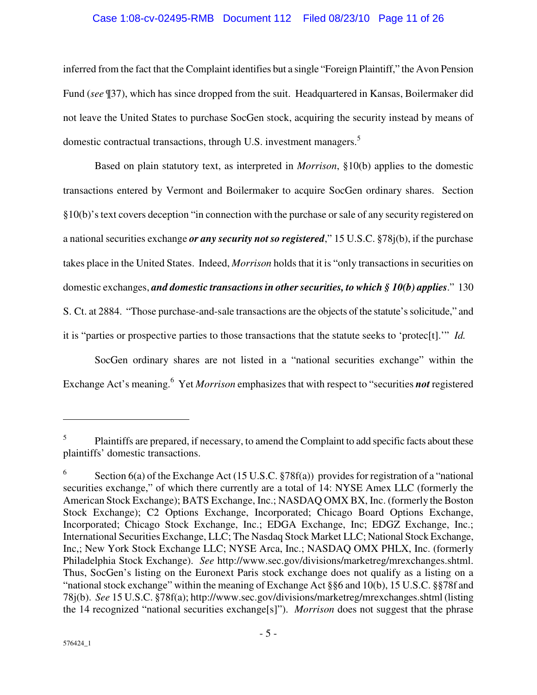### Case 1:08-cv-02495-RMB Document 112 Filed 08/23/10 Page 11 of 26

inferred from the fact that the Complaint identifies but a single "Foreign Plaintiff," the Avon Pension Fund (*see* ¶37), which has since dropped from the suit. Headquartered in Kansas, Boilermaker did not leave the United States to purchase SocGen stock, acquiring the security instead by means of domestic contractual transactions, through U.S. investment managers.<sup>5</sup>

Based on plain statutory text, as interpreted in *Morrison*, §10(b) applies to the domestic transactions entered by Vermont and Boilermaker to acquire SocGen ordinary shares. Section §10(b)'s text covers deception "in connection with the purchase or sale of any security registered on a national securities exchange *or any security not so registered*," 15 U.S.C. §78j(b), if the purchase takes place in the United States. Indeed, *Morrison* holds that it is "only transactions in securities on domestic exchanges, *and domestic transactions in other securities, to which § 10(b) applies*." 130 S. Ct. at 2884. "Those purchase-and-sale transactions are the objects of the statute's solicitude," and it is "parties or prospective parties to those transactions that the statute seeks to 'protec[t].'" *Id.*

SocGen ordinary shares are not listed in a "national securities exchange" within the Exchange Act's meaning.<sup>6</sup> Yet *Morrison* emphasizes that with respect to "securities **not** registered

 $\overline{a}$ 

<sup>5</sup> Plaintiffs are prepared, if necessary, to amend the Complaint to add specific facts about these plaintiffs' domestic transactions.

<sup>6</sup> Section 6(a) of the Exchange Act (15 U.S.C. §78f(a)) provides for registration of a "national securities exchange," of which there currently are a total of 14: NYSE Amex LLC (formerly the American Stock Exchange); BATS Exchange, Inc.; NASDAQ OMX BX, Inc. (formerly the Boston Stock Exchange); C2 Options Exchange, Incorporated; Chicago Board Options Exchange, Incorporated; Chicago Stock Exchange, Inc.; EDGA Exchange, Inc; EDGZ Exchange, Inc.; International Securities Exchange, LLC; The Nasdaq Stock Market LLC; National Stock Exchange, Inc,; New York Stock Exchange LLC; NYSE Arca, Inc.; NASDAQ OMX PHLX, Inc. (formerly Philadelphia Stock Exchange). *See* http://www.sec.gov/divisions/marketreg/mrexchanges.shtml. Thus, SocGen's listing on the Euronext Paris stock exchange does not qualify as a listing on a "national stock exchange" within the meaning of Exchange Act §§6 and 10(b), 15 U.S.C. §§78f and 78j(b). *See* 15 U.S.C. §78f(a); http://www.sec.gov/divisions/marketreg/mrexchanges.shtml (listing the 14 recognized "national securities exchange[s]"). *Morrison* does not suggest that the phrase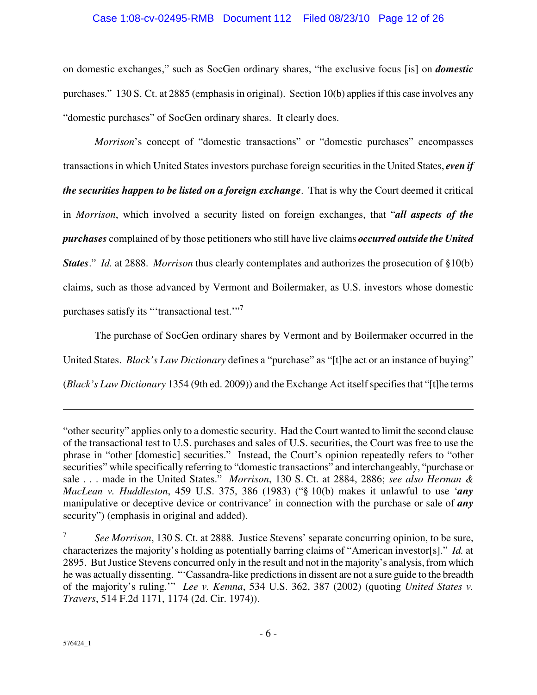#### Case 1:08-cv-02495-RMB Document 112 Filed 08/23/10 Page 12 of 26

on domestic exchanges," such as SocGen ordinary shares, "the exclusive focus [is] on *domestic* purchases." 130 S. Ct. at 2885 (emphasis in original). Section 10(b) applies if this case involves any "domestic purchases" of SocGen ordinary shares. It clearly does.

*Morrison*'s concept of "domestic transactions" or "domestic purchases" encompasses transactions in which United States investors purchase foreign securities in the United States, *even if the securities happen to be listed on a foreign exchange*. That is why the Court deemed it critical in *Morrison*, which involved a security listed on foreign exchanges, that "*all aspects of the purchases* complained of by those petitioners who still have live claims *occurred outside the United States.*" *Id.* at 2888. *Morrison* thus clearly contemplates and authorizes the prosecution of §10(b) claims, such as those advanced by Vermont and Boilermaker, as U.S. investors whose domestic purchases satisfy its "'transactional test.'"<sup>7</sup>

The purchase of SocGen ordinary shares by Vermont and by Boilermaker occurred in the United States. *Black's Law Dictionary* defines a "purchase" as "[t]he act or an instance of buying" (*Black's Law Dictionary* 1354 (9th ed. 2009)) and the Exchange Act itself specifies that "[t]he terms

 $\overline{a}$ 

<sup>&</sup>quot;other security" applies only to a domestic security. Had the Court wanted to limit the second clause of the transactional test to U.S. purchases and sales of U.S. securities, the Court was free to use the phrase in "other [domestic] securities." Instead, the Court's opinion repeatedly refers to "other securities" while specifically referring to "domestic transactions" and interchangeably, "purchase or sale . . . made in the United States." *Morrison*, 130 S. Ct. at 2884, 2886; *see also Herman & MacLean v. Huddleston*, 459 U.S. 375, 386 (1983) ("§ 10(b) makes it unlawful to use '*any* manipulative or deceptive device or contrivance' in connection with the purchase or sale of *any* security") (emphasis in original and added).

<sup>7</sup> *See Morrison*, 130 S. Ct. at 2888. Justice Stevens' separate concurring opinion, to be sure, characterizes the majority's holding as potentially barring claims of "American investor[s]." *Id.* at 2895. But Justice Stevens concurred only in the result and not in the majority's analysis, from which he was actually dissenting. "'Cassandra-like predictions in dissent are not a sure guide to the breadth of the majority's ruling.'" *Lee v. Kemna*, 534 U.S. 362, 387 (2002) (quoting *United States v. Travers*, 514 F.2d 1171, 1174 (2d. Cir. 1974)).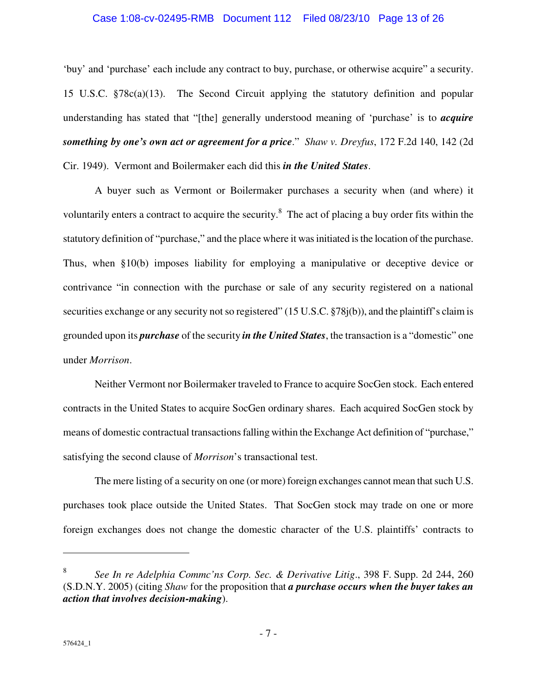#### Case 1:08-cv-02495-RMB Document 112 Filed 08/23/10 Page 13 of 26

'buy' and 'purchase' each include any contract to buy, purchase, or otherwise acquire" a security. 15 U.S.C. §78c(a)(13). The Second Circuit applying the statutory definition and popular understanding has stated that "[the] generally understood meaning of 'purchase' is to *acquire something by one's own act or agreement for a price*." *Shaw v. Dreyfus*, 172 F.2d 140, 142 (2d Cir. 1949). Vermont and Boilermaker each did this *in the United States*.

A buyer such as Vermont or Boilermaker purchases a security when (and where) it voluntarily enters a contract to acquire the security.<sup>8</sup> The act of placing a buy order fits within the statutory definition of "purchase," and the place where it was initiated is the location of the purchase. Thus, when §10(b) imposes liability for employing a manipulative or deceptive device or contrivance "in connection with the purchase or sale of any security registered on a national securities exchange or any security not so registered" (15 U.S.C. §78j(b)), and the plaintiff's claim is grounded upon its *purchase* of the security *in the United States*, the transaction is a "domestic" one under *Morrison*.

Neither Vermont nor Boilermaker traveled to France to acquire SocGen stock. Each entered contracts in the United States to acquire SocGen ordinary shares. Each acquired SocGen stock by means of domestic contractual transactions falling within the Exchange Act definition of "purchase," satisfying the second clause of *Morrison*'s transactional test.

The mere listing of a security on one (or more) foreign exchanges cannot mean that such U.S. purchases took place outside the United States. That SocGen stock may trade on one or more foreign exchanges does not change the domestic character of the U.S. plaintiffs' contracts to

1

<sup>8</sup> *See In re Adelphia Commc'ns Corp. Sec. & Derivative Litig*., 398 F. Supp. 2d 244, 260 (S.D.N.Y. 2005) (citing *Shaw* for the proposition that *a purchase occurs when the buyer takes an action that involves decision-making*).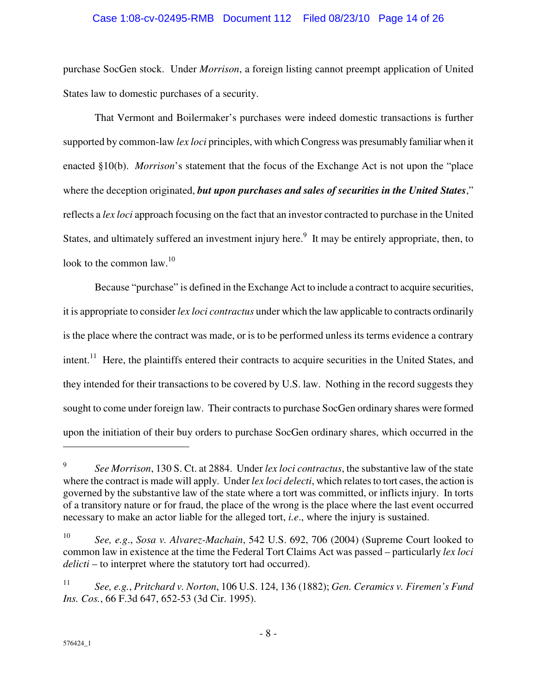## Case 1:08-cv-02495-RMB Document 112 Filed 08/23/10 Page 14 of 26

purchase SocGen stock. Under *Morrison*, a foreign listing cannot preempt application of United States law to domestic purchases of a security.

That Vermont and Boilermaker's purchases were indeed domestic transactions is further supported by common-law *lex loci* principles, with which Congress was presumably familiar when it enacted §10(b). *Morrison*'s statement that the focus of the Exchange Act is not upon the "place where the deception originated, *but upon purchases and sales of securities in the United States*," reflects a *lex loci* approach focusing on the fact that an investor contracted to purchase in the United States, and ultimately suffered an investment injury here.<sup>9</sup> It may be entirely appropriate, then, to look to the common law.<sup>10</sup>

Because "purchase" is defined in the Exchange Act to include a contract to acquire securities, it is appropriate to consider *lex loci contractus* under which the law applicable to contracts ordinarily is the place where the contract was made, or is to be performed unless its terms evidence a contrary intent.<sup>11</sup> Here, the plaintiffs entered their contracts to acquire securities in the United States, and they intended for their transactions to be covered by U.S. law. Nothing in the record suggests they sought to come under foreign law. Their contracts to purchase SocGen ordinary shares were formed upon the initiation of their buy orders to purchase SocGen ordinary shares, which occurred in the

<u>.</u>

<sup>9</sup> *See Morrison*, 130 S. Ct. at 2884. Under *lex loci contractus*, the substantive law of the state where the contract is made will apply. Under *lex loci delecti*, which relates to tort cases, the action is governed by the substantive law of the state where a tort was committed, or inflicts injury. In torts of a transitory nature or for fraud, the place of the wrong is the place where the last event occurred necessary to make an actor liable for the alleged tort, *i.e*., where the injury is sustained.

<sup>10</sup> *See, e.g*., *Sosa v. Alvarez-Machain*, 542 U.S. 692, 706 (2004) (Supreme Court looked to common law in existence at the time the Federal Tort Claims Act was passed – particularly *lex loci delicti* – to interpret where the statutory tort had occurred).

<sup>11</sup> *See, e.g.*, *Pritchard v. Norton*, 106 U.S. 124, 136 (1882); *Gen. Ceramics v. Firemen's Fund Ins. Cos.*, 66 F.3d 647, 652-53 (3d Cir. 1995).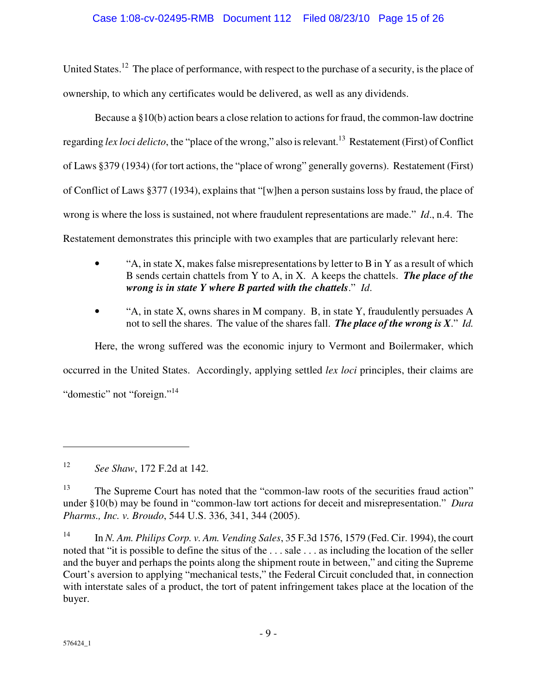## Case 1:08-cv-02495-RMB Document 112 Filed 08/23/10 Page 15 of 26

United States.<sup>12</sup> The place of performance, with respect to the purchase of a security, is the place of ownership, to which any certificates would be delivered, as well as any dividends.

Because a §10(b) action bears a close relation to actions for fraud, the common-law doctrine regarding *lex loci delicto*, the "place of the wrong," also is relevant.<sup>13</sup> Restatement (First) of Conflict of Laws §379 (1934) (for tort actions, the "place of wrong" generally governs). Restatement (First) of Conflict of Laws §377 (1934), explains that "[w]hen a person sustains loss by fraud, the place of wrong is where the loss is sustained, not where fraudulent representations are made." *Id*., n.4. The Restatement demonstrates this principle with two examples that are particularly relevant here:

- "A, in state X, makes false misrepresentations by letter to B in Y as a result of which B sends certain chattels from Y to A, in X. A keeps the chattels. *The place of the wrong is in state Y where B parted with the chattels*." *Id*.
- "A, in state X, owns shares in M company. B, in state Y, fraudulently persuades A not to sell the shares. The value of the shares fall. *The place of the wrong is X*." *Id.*

Here, the wrong suffered was the economic injury to Vermont and Boilermaker, which occurred in the United States. Accordingly, applying settled *lex loci* principles, their claims are "domestic" not "foreign."<sup>14</sup>

 $\overline{a}$ 

<sup>12</sup> *See Shaw*, 172 F.2d at 142.

<sup>&</sup>lt;sup>13</sup> The Supreme Court has noted that the "common-law roots of the securities fraud action" under §10(b) may be found in "common-law tort actions for deceit and misrepresentation." *Dura Pharms., Inc. v. Broudo*, 544 U.S. 336, 341, 344 (2005).

<sup>14</sup> In *N. Am. Philips Corp. v. Am. Vending Sales*, 35 F.3d 1576, 1579 (Fed. Cir. 1994), the court noted that "it is possible to define the situs of the . . . sale . . . as including the location of the seller and the buyer and perhaps the points along the shipment route in between," and citing the Supreme Court's aversion to applying "mechanical tests," the Federal Circuit concluded that, in connection with interstate sales of a product, the tort of patent infringement takes place at the location of the buyer.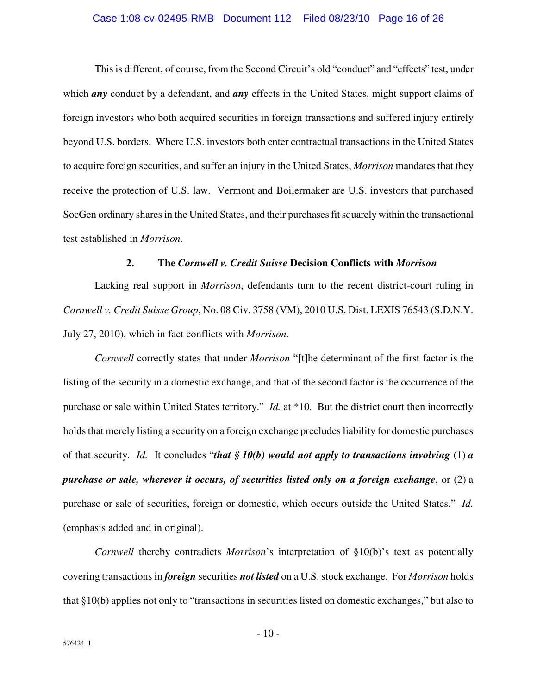#### Case 1:08-cv-02495-RMB Document 112 Filed 08/23/10 Page 16 of 26

This is different, of course, from the Second Circuit's old "conduct" and "effects" test, under which **any** conduct by a defendant, and **any** effects in the United States, might support claims of foreign investors who both acquired securities in foreign transactions and suffered injury entirely beyond U.S. borders. Where U.S. investors both enter contractual transactions in the United States to acquire foreign securities, and suffer an injury in the United States, *Morrison* mandates that they receive the protection of U.S. law. Vermont and Boilermaker are U.S. investors that purchased SocGen ordinary shares in the United States, and their purchases fit squarely within the transactional test established in *Morrison*.

#### **2. The** *Cornwell v. Credit Suisse* **Decision Conflicts with** *Morrison*

Lacking real support in *Morrison*, defendants turn to the recent district-court ruling in *Cornwell v. Credit Suisse Group*, No. 08 Civ. 3758 (VM), 2010 U.S. Dist. LEXIS 76543 (S.D.N.Y. July 27, 2010), which in fact conflicts with *Morrison*.

*Cornwell* correctly states that under *Morrison* "[t]he determinant of the first factor is the listing of the security in a domestic exchange, and that of the second factor is the occurrence of the purchase or sale within United States territory." *Id.* at \*10. But the district court then incorrectly holds that merely listing a security on a foreign exchange precludes liability for domestic purchases of that security. *Id.* It concludes "*that § 10(b) would not apply to transactions involving* (1) *a purchase or sale, wherever it occurs, of securities listed only on a foreign exchange*, or (2) a purchase or sale of securities, foreign or domestic, which occurs outside the United States." *Id.* (emphasis added and in original).

*Cornwell* thereby contradicts *Morrison*'s interpretation of §10(b)'s text as potentially covering transactions in *foreign* securities *not listed* on a U.S. stock exchange. For *Morrison* holds that §10(b) applies not only to "transactions in securities listed on domestic exchanges," but also to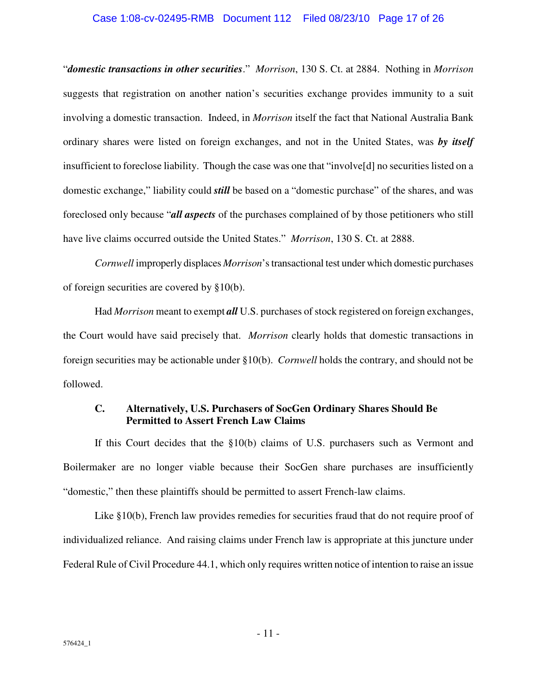#### Case 1:08-cv-02495-RMB Document 112 Filed 08/23/10 Page 17 of 26

"*domestic transactions in other securities*." *Morrison*, 130 S. Ct. at 2884. Nothing in *Morrison* suggests that registration on another nation's securities exchange provides immunity to a suit involving a domestic transaction. Indeed, in *Morrison* itself the fact that National Australia Bank ordinary shares were listed on foreign exchanges, and not in the United States, was *by itself* insufficient to foreclose liability. Though the case was one that "involve[d] no securities listed on a domestic exchange," liability could *still* be based on a "domestic purchase" of the shares, and was foreclosed only because "*all aspects* of the purchases complained of by those petitioners who still have live claims occurred outside the United States." *Morrison*, 130 S. Ct. at 2888.

*Cornwell* improperly displaces *Morrison*'s transactional test under which domestic purchases of foreign securities are covered by §10(b).

Had *Morrison* meant to exempt *all* U.S. purchases of stock registered on foreign exchanges, the Court would have said precisely that. *Morrison* clearly holds that domestic transactions in foreign securities may be actionable under §10(b). *Cornwell* holds the contrary, and should not be followed.

## **C. Alternatively, U.S. Purchasers of SocGen Ordinary Shares Should Be Permitted to Assert French Law Claims**

If this Court decides that the §10(b) claims of U.S. purchasers such as Vermont and Boilermaker are no longer viable because their SocGen share purchases are insufficiently "domestic," then these plaintiffs should be permitted to assert French-law claims.

Like §10(b), French law provides remedies for securities fraud that do not require proof of individualized reliance. And raising claims under French law is appropriate at this juncture under Federal Rule of Civil Procedure 44.1, which only requires written notice of intention to raise an issue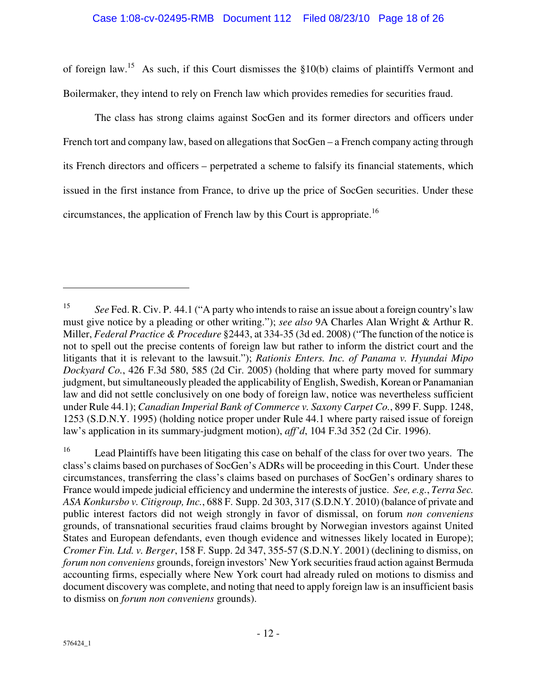#### Case 1:08-cv-02495-RMB Document 112 Filed 08/23/10 Page 18 of 26

of foreign law.<sup>15</sup> As such, if this Court dismisses the  $\S10(b)$  claims of plaintiffs Vermont and Boilermaker, they intend to rely on French law which provides remedies for securities fraud.

The class has strong claims against SocGen and its former directors and officers under French tort and company law, based on allegations that SocGen – a French company acting through its French directors and officers – perpetrated a scheme to falsify its financial statements, which issued in the first instance from France, to drive up the price of SocGen securities. Under these circumstances, the application of French law by this Court is appropriate.<sup>16</sup>

 $\overline{a}$ 

<sup>15</sup> *See* Fed. R. Civ. P. 44.1 ("A party who intends to raise an issue about a foreign country's law must give notice by a pleading or other writing."); *see also* 9A Charles Alan Wright & Arthur R. Miller, *Federal Practice & Procedure* §2443, at 334-35 (3d ed. 2008) ("The function of the notice is not to spell out the precise contents of foreign law but rather to inform the district court and the litigants that it is relevant to the lawsuit."); *Rationis Enters. Inc. of Panama v. Hyundai Mipo Dockyard Co.*, 426 F.3d 580, 585 (2d Cir. 2005) (holding that where party moved for summary judgment, but simultaneously pleaded the applicability of English, Swedish, Korean or Panamanian law and did not settle conclusively on one body of foreign law, notice was nevertheless sufficient under Rule 44.1); *Canadian Imperial Bank of Commerce v. Saxony Carpet Co.*, 899 F. Supp. 1248, 1253 (S.D.N.Y. 1995) (holding notice proper under Rule 44.1 where party raised issue of foreign law's application in its summary-judgment motion), *aff'd*, 104 F.3d 352 (2d Cir. 1996).

<sup>&</sup>lt;sup>16</sup> Lead Plaintiffs have been litigating this case on behalf of the class for over two years. The class's claims based on purchases of SocGen's ADRs will be proceeding in this Court. Under these circumstances, transferring the class's claims based on purchases of SocGen's ordinary shares to France would impede judicial efficiency and undermine the interests of justice. *See, e.g.*, *Terra Sec. ASA Konkursbo v. Citigroup, Inc.*, 688 F. Supp. 2d 303, 317 (S.D.N.Y. 2010) (balance of private and public interest factors did not weigh strongly in favor of dismissal, on forum *non conveniens*  grounds, of transnational securities fraud claims brought by Norwegian investors against United States and European defendants, even though evidence and witnesses likely located in Europe); *Cromer Fin. Ltd. v. Berger*, 158 F. Supp. 2d 347, 355-57 (S.D.N.Y. 2001) (declining to dismiss, on *forum non conveniens* grounds, foreign investors' New York securities fraud action against Bermuda accounting firms, especially where New York court had already ruled on motions to dismiss and document discovery was complete, and noting that need to apply foreign law is an insufficient basis to dismiss on *forum non conveniens* grounds).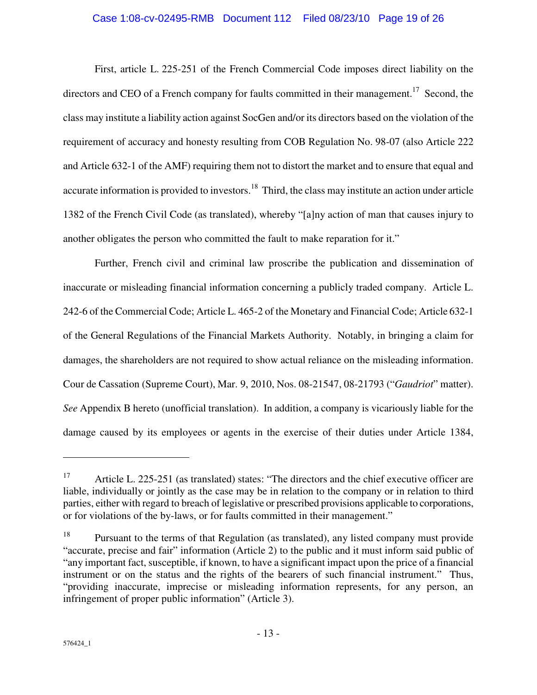## Case 1:08-cv-02495-RMB Document 112 Filed 08/23/10 Page 19 of 26

First, article L. 225-251 of the French Commercial Code imposes direct liability on the directors and CEO of a French company for faults committed in their management.<sup>17</sup> Second, the class may institute a liability action against SocGen and/or its directors based on the violation of the requirement of accuracy and honesty resulting from COB Regulation No. 98-07 (also Article 222 and Article 632-1 of the AMF) requiring them not to distort the market and to ensure that equal and accurate information is provided to investors.<sup>18</sup> Third, the class may institute an action under article 1382 of the French Civil Code (as translated), whereby "[a]ny action of man that causes injury to another obligates the person who committed the fault to make reparation for it."

Further, French civil and criminal law proscribe the publication and dissemination of inaccurate or misleading financial information concerning a publicly traded company. Article L. 242-6 of the Commercial Code; Article L. 465-2 of the Monetary and Financial Code; Article 632-1 of the General Regulations of the Financial Markets Authority. Notably, in bringing a claim for damages, the shareholders are not required to show actual reliance on the misleading information. Cour de Cassation (Supreme Court), Mar. 9, 2010, Nos. 08-21547, 08-21793 ("*Gaudriot*" matter). *See* Appendix B hereto (unofficial translation). In addition, a company is vicariously liable for the damage caused by its employees or agents in the exercise of their duties under Article 1384,

<u>.</u>

<sup>&</sup>lt;sup>17</sup> Article L. 225-251 (as translated) states: "The directors and the chief executive officer are liable, individually or jointly as the case may be in relation to the company or in relation to third parties, either with regard to breach of legislative or prescribed provisions applicable to corporations, or for violations of the by-laws, or for faults committed in their management."

<sup>&</sup>lt;sup>18</sup> Pursuant to the terms of that Regulation (as translated), any listed company must provide "accurate, precise and fair" information (Article 2) to the public and it must inform said public of "any important fact, susceptible, if known, to have a significant impact upon the price of a financial instrument or on the status and the rights of the bearers of such financial instrument." Thus, "providing inaccurate, imprecise or misleading information represents, for any person, an infringement of proper public information" (Article 3).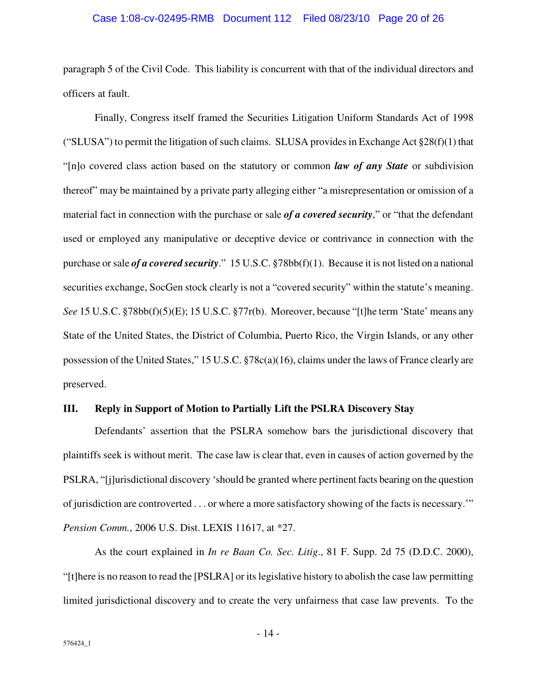#### Case 1:08-cv-02495-RMB Document 112 Filed 08/23/10 Page 20 of 26

paragraph 5 of the Civil Code. This liability is concurrent with that of the individual directors and officers at fault.

Finally, Congress itself framed the Securities Litigation Uniform Standards Act of 1998 ("SLUSA") to permit the litigation of such claims. SLUSA provides in Exchange Act  $\S 28(f)(1)$  that "[n]o covered class action based on the statutory or common *law of any State* or subdivision thereof" may be maintained by a private party alleging either "a misrepresentation or omission of a material fact in connection with the purchase or sale *of a covered security*," or "that the defendant used or employed any manipulative or deceptive device or contrivance in connection with the purchase or sale *of a covered security*." 15 U.S.C. §78bb(f)(1). Because it is not listed on a national securities exchange, SocGen stock clearly is not a "covered security" within the statute's meaning. *See* 15 U.S.C. §78bb(f)(5)(E); 15 U.S.C. §77r(b). Moreover, because "[t]he term 'State' means any State of the United States, the District of Columbia, Puerto Rico, the Virgin Islands, or any other possession of the United States," 15 U.S.C. §78c(a)(16), claims under the laws of France clearly are preserved.

#### **III. Reply in Support of Motion to Partially Lift the PSLRA Discovery Stay**

Defendants' assertion that the PSLRA somehow bars the jurisdictional discovery that plaintiffs seek is without merit. The case law is clear that, even in causes of action governed by the PSLRA, "[j]urisdictional discovery 'should be granted where pertinent facts bearing on the question of jurisdiction are controverted . . . or where a more satisfactory showing of the facts is necessary.'" *Pension Comm.*, 2006 U.S. Dist. LEXIS 11617, at \*27.

As the court explained in *In re Baan Co. Sec. Litig*., 81 F. Supp. 2d 75 (D.D.C. 2000), "[t]here is no reason to read the [PSLRA] or its legislative history to abolish the case law permitting limited jurisdictional discovery and to create the very unfairness that case law prevents. To the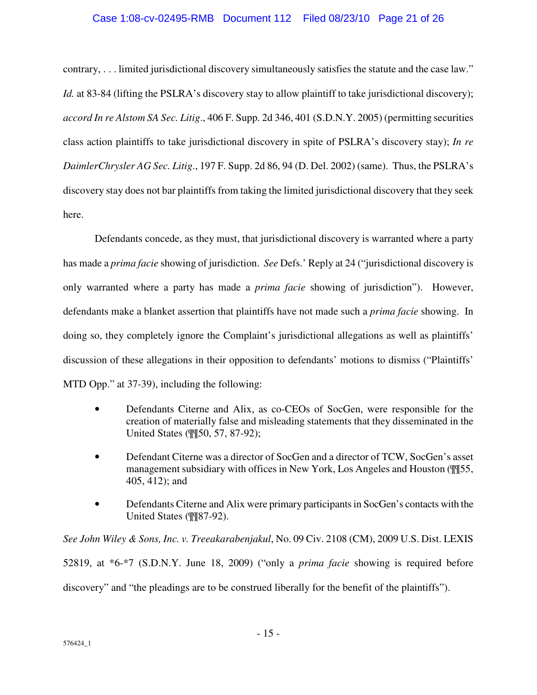### Case 1:08-cv-02495-RMB Document 112 Filed 08/23/10 Page 21 of 26

contrary, . . . limited jurisdictional discovery simultaneously satisfies the statute and the case law." *Id.* at 83-84 (lifting the PSLRA's discovery stay to allow plaintiff to take jurisdictional discovery); *accord In re Alstom SA Sec. Litig*., 406 F. Supp. 2d 346, 401 (S.D.N.Y. 2005) (permitting securities class action plaintiffs to take jurisdictional discovery in spite of PSLRA's discovery stay); *In re DaimlerChrysler AG Sec. Litig*., 197 F. Supp. 2d 86, 94 (D. Del. 2002) (same). Thus, the PSLRA's discovery stay does not bar plaintiffs from taking the limited jurisdictional discovery that they seek here.

Defendants concede, as they must, that jurisdictional discovery is warranted where a party has made a *prima facie* showing of jurisdiction. *See* Defs.' Reply at 24 ("jurisdictional discovery is only warranted where a party has made a *prima facie* showing of jurisdiction"). However, defendants make a blanket assertion that plaintiffs have not made such a *prima facie* showing. In doing so, they completely ignore the Complaint's jurisdictional allegations as well as plaintiffs' discussion of these allegations in their opposition to defendants' motions to dismiss ("Plaintiffs' MTD Opp." at 37-39), including the following:

- Defendants Citerne and Alix, as co-CEOs of SocGen, were responsible for the creation of materially false and misleading statements that they disseminated in the United States (¶¶50, 57, 87-92);
- Defendant Citerne was a director of SocGen and a director of TCW, SocGen's asset management subsidiary with offices in New York, Los Angeles and Houston (¶¶55, 405, 412); and
- Defendants Citerne and Alix were primary participants in SocGen's contacts with the United States (¶¶87-92).

*See John Wiley & Sons, Inc. v. Treeakarabenjakul*, No. 09 Civ. 2108 (CM), 2009 U.S. Dist. LEXIS 52819, at \*6-\*7 (S.D.N.Y. June 18, 2009) ("only a *prima facie* showing is required before discovery" and "the pleadings are to be construed liberally for the benefit of the plaintiffs").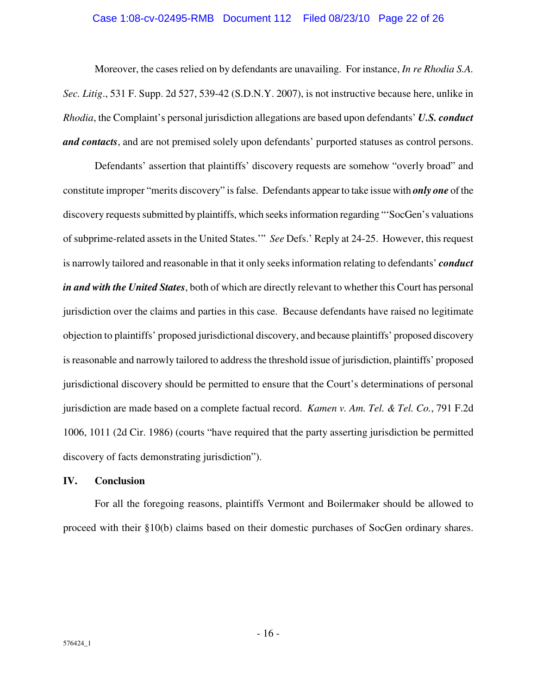#### Case 1:08-cv-02495-RMB Document 112 Filed 08/23/10 Page 22 of 26

Moreover, the cases relied on by defendants are unavailing. For instance, *In re Rhodia S.A. Sec. Litig*., 531 F. Supp. 2d 527, 539-42 (S.D.N.Y. 2007), is not instructive because here, unlike in *Rhodia*, the Complaint's personal jurisdiction allegations are based upon defendants' *U.S. conduct and contacts*, and are not premised solely upon defendants' purported statuses as control persons.

Defendants' assertion that plaintiffs' discovery requests are somehow "overly broad" and constitute improper "merits discovery" is false. Defendants appear to take issue with *only one* of the discovery requests submitted by plaintiffs, which seeks information regarding "'SocGen's valuations of subprime-related assets in the United States.'" *See* Defs.' Reply at 24-25. However, this request is narrowly tailored and reasonable in that it only seeks information relating to defendants' *conduct in and with the United States*, both of which are directly relevant to whether this Court has personal jurisdiction over the claims and parties in this case. Because defendants have raised no legitimate objection to plaintiffs' proposed jurisdictional discovery, and because plaintiffs' proposed discovery is reasonable and narrowly tailored to address the threshold issue of jurisdiction, plaintiffs' proposed jurisdictional discovery should be permitted to ensure that the Court's determinations of personal jurisdiction are made based on a complete factual record. *Kamen v. Am. Tel. & Tel. Co.*, 791 F.2d 1006, 1011 (2d Cir. 1986) (courts "have required that the party asserting jurisdiction be permitted discovery of facts demonstrating jurisdiction").

#### **IV. Conclusion**

For all the foregoing reasons, plaintiffs Vermont and Boilermaker should be allowed to proceed with their §10(b) claims based on their domestic purchases of SocGen ordinary shares.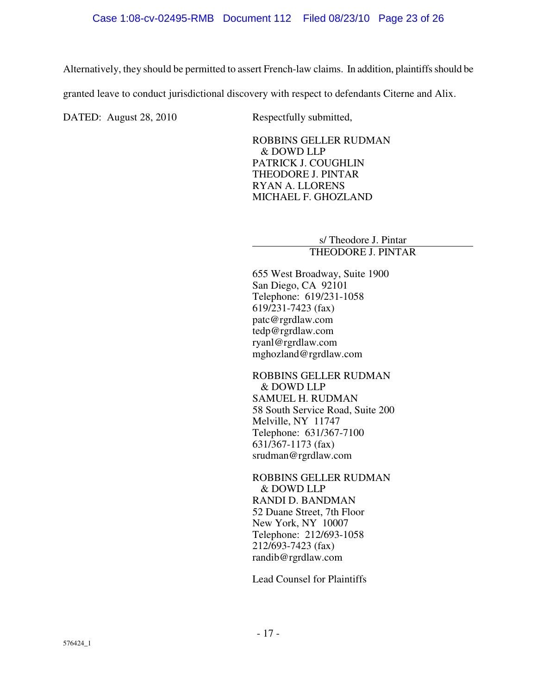Alternatively, they should be permitted to assert French-law claims. In addition, plaintiffs should be

granted leave to conduct jurisdictional discovery with respect to defendants Citerne and Alix.

DATED: August 28, 2010 Respectfully submitted,

ROBBINS GELLER RUDMAN & DOWD LLP PATRICK J. COUGHLIN THEODORE J. PINTAR RYAN A. LLORENS MICHAEL F. GHOZLAND

> s/ Theodore J. Pintar THEODORE J. PINTAR

655 West Broadway, Suite 1900 San Diego, CA 92101 Telephone: 619/231-1058 619/231-7423 (fax) patc@rgrdlaw.com tedp@rgrdlaw.com ryanl@rgrdlaw.com mghozland@rgrdlaw.com

ROBBINS GELLER RUDMAN & DOWD LLP SAMUEL H. RUDMAN 58 South Service Road, Suite 200 Melville, NY 11747 Telephone: 631/367-7100 631/367-1173 (fax) srudman@rgrdlaw.com

ROBBINS GELLER RUDMAN & DOWD LLP RANDI D. BANDMAN 52 Duane Street, 7th Floor New York, NY 10007 Telephone: 212/693-1058 212/693-7423 (fax) randib@rgrdlaw.com

Lead Counsel for Plaintiffs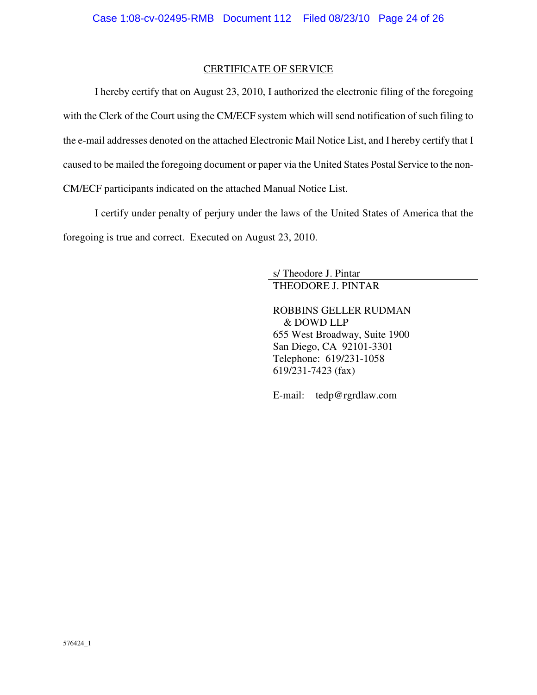### CERTIFICATE OF SERVICE

I hereby certify that on August 23, 2010, I authorized the electronic filing of the foregoing with the Clerk of the Court using the CM/ECF system which will send notification of such filing to the e-mail addresses denoted on the attached Electronic Mail Notice List, and I hereby certify that I caused to be mailed the foregoing document or paper via the United States Postal Service to the non-CM/ECF participants indicated on the attached Manual Notice List.

I certify under penalty of perjury under the laws of the United States of America that the foregoing is true and correct. Executed on August 23, 2010.

> s/ Theodore J. Pintar THEODORE J. PINTAR

ROBBINS GELLER RUDMAN & DOWD LLP 655 West Broadway, Suite 1900 San Diego, CA 92101-3301 Telephone: 619/231-1058 619/231-7423 (fax)

E-mail: tedp@rgrdlaw.com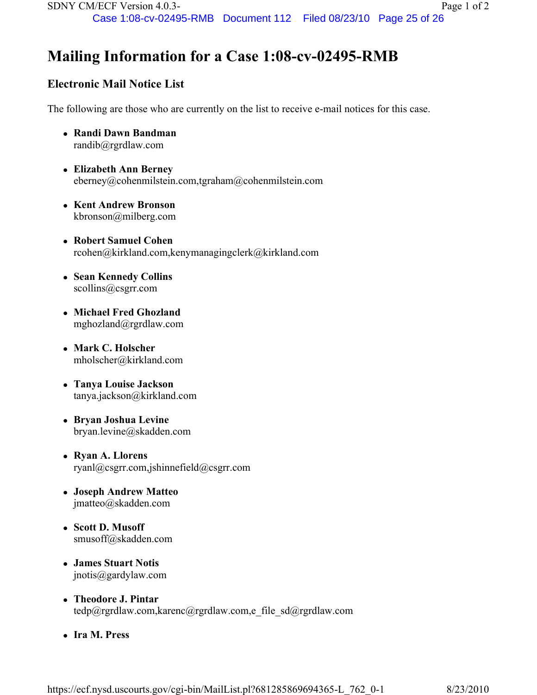# Mailing Information for a Case 1:08-cv-02495-RMB

# Electronic Mail Notice List

The following are those who are currently on the list to receive e-mail notices for this case.

- Randi Dawn Bandman randib@rgrdlaw.com
- Elizabeth Ann Berney eberney@cohenmilstein.com,tgraham@cohenmilstein.com
- Kent Andrew Bronson kbronson@milberg.com
- Robert Samuel Cohen rcohen@kirkland.com,kenymanagingclerk@kirkland.com
- Sean Kennedy Collins scollins@csgrr.com
- Michael Fred Ghozland mghozland@rgrdlaw.com
- Mark C. Holscher mholscher@kirkland.com
- Tanya Louise Jackson tanya.jackson@kirkland.com
- Bryan Joshua Levine bryan.levine@skadden.com
- Ryan A. Llorens ryanl@csgrr.com,jshinnefield@csgrr.com
- Joseph Andrew Matteo jmatteo@skadden.com
- Scott D. Musoff smusoff@skadden.com
- James Stuart Notis jnotis@gardylaw.com
- Theodore J. Pintar tedp@rgrdlaw.com,karenc@rgrdlaw.com,e\_file\_sd@rgrdlaw.com
- Ira M. Press